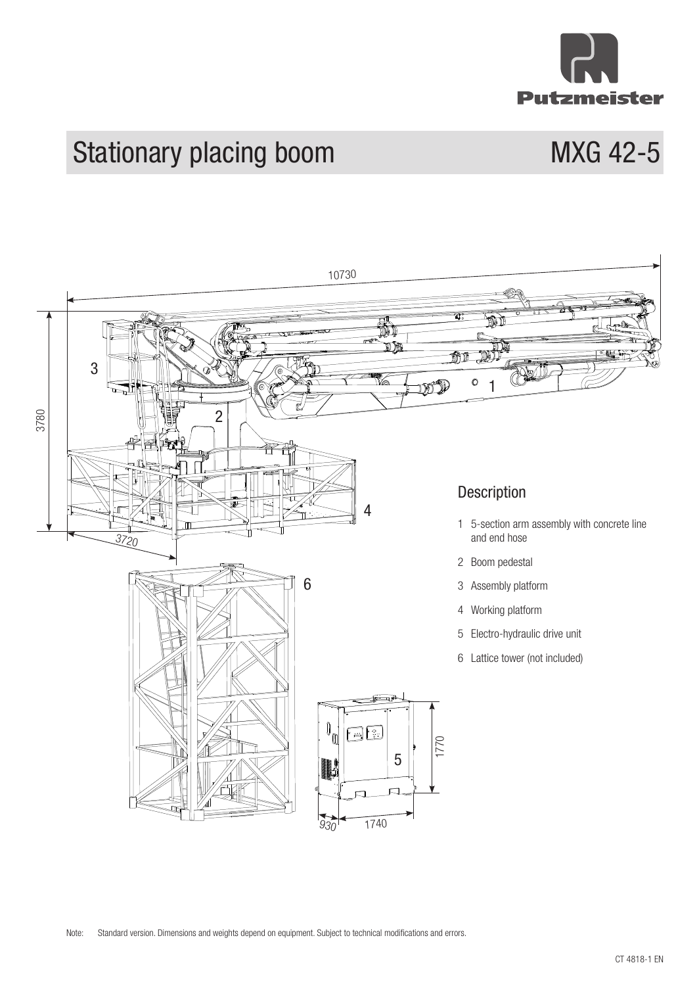

# Stationary placing boom MXG 42-5